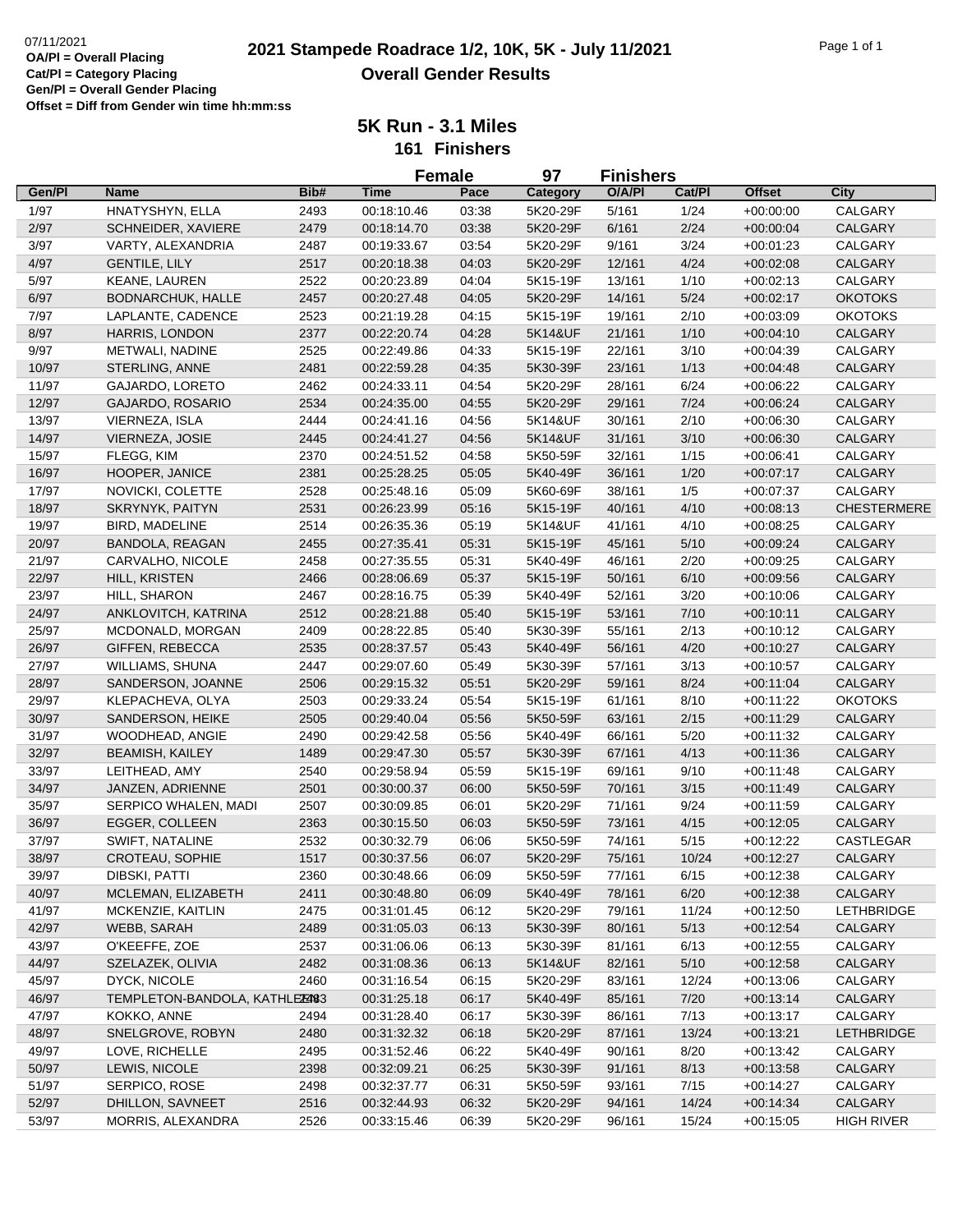|        |                               |      | <b>Female</b> |       | 97                   | <b>Finishers</b> |        |               |                    |
|--------|-------------------------------|------|---------------|-------|----------------------|------------------|--------|---------------|--------------------|
| Gen/Pl | <b>Name</b>                   | Bib# | <b>Time</b>   | Pace  | Category             | O/A/PI           | Cat/Pl | <b>Offset</b> | <b>City</b>        |
| 1/97   | HNATYSHYN, ELLA               | 2493 | 00:18:10.46   | 03:38 | 5K20-29F             | 5/161            | 1/24   | $+00:00:00$   | CALGARY            |
| 2/97   | SCHNEIDER, XAVIERE            | 2479 | 00:18:14.70   | 03:38 | 5K20-29F             | 6/161            | 2/24   | $+00:00:04$   | CALGARY            |
| 3/97   | VARTY, ALEXANDRIA             | 2487 | 00:19:33.67   | 03:54 | 5K20-29F             | 9/161            | 3/24   | $+00:01:23$   | CALGARY            |
| 4/97   | <b>GENTILE, LILY</b>          | 2517 | 00:20:18.38   | 04:03 | 5K20-29F             | 12/161           | 4/24   | $+00:02:08$   | CALGARY            |
| 5/97   | KEANE, LAUREN                 | 2522 | 00:20:23.89   | 04:04 | 5K15-19F             | 13/161           | 1/10   | $+00:02:13$   | CALGARY            |
| 6/97   | <b>BODNARCHUK, HALLE</b>      | 2457 | 00:20:27.48   | 04:05 | 5K20-29F             | 14/161           | 5/24   | $+00:02:17$   | <b>OKOTOKS</b>     |
| 7/97   | LAPLANTE, CADENCE             | 2523 | 00:21:19.28   | 04:15 | 5K15-19F             | 19/161           | 2/10   | $+00:03:09$   | <b>OKOTOKS</b>     |
| 8/97   | HARRIS, LONDON                | 2377 | 00:22:20.74   | 04:28 | 5K14&UF              | 21/161           | 1/10   | $+00:04:10$   | <b>CALGARY</b>     |
| 9/97   | METWALI, NADINE               | 2525 | 00:22:49.86   | 04:33 | 5K15-19F             | 22/161           | 3/10   | $+00:04:39$   | CALGARY            |
| 10/97  | STERLING, ANNE                | 2481 | 00:22:59.28   | 04:35 | 5K30-39F             | 23/161           | 1/13   | $+00:04:48$   | CALGARY            |
| 11/97  | GAJARDO, LORETO               | 2462 | 00:24:33.11   | 04:54 | 5K20-29F             | 28/161           | 6/24   | +00:06:22     | CALGARY            |
| 12/97  | GAJARDO, ROSARIO              | 2534 | 00:24:35.00   | 04:55 | 5K20-29F             | 29/161           | 7/24   | $+00:06:24$   | CALGARY            |
| 13/97  | VIERNEZA, ISLA                | 2444 | 00:24:41.16   | 04:56 | 5K14&UF              | 30/161           | 2/10   | $+00:06:30$   | CALGARY            |
| 14/97  | VIERNEZA, JOSIE               | 2445 | 00:24:41.27   | 04:56 | 5K14&UF              | 31/161           | 3/10   | $+00:06:30$   | CALGARY            |
| 15/97  | FLEGG, KIM                    | 2370 | 00:24:51.52   | 04:58 | 5K50-59F             | 32/161           | 1/15   | $+00:06:41$   | CALGARY            |
| 16/97  | HOOPER, JANICE                | 2381 | 00:25:28.25   | 05:05 | 5K40-49F             | 36/161           | 1/20   | $+00:07:17$   | CALGARY            |
| 17/97  | NOVICKI, COLETTE              | 2528 | 00:25:48.16   | 05:09 | 5K60-69F             | 38/161           | 1/5    | $+00:07:37$   | <b>CALGARY</b>     |
| 18/97  | <b>SKRYNYK, PAITYN</b>        | 2531 | 00:26:23.99   | 05:16 | 5K15-19F             | 40/161           | 4/10   | $+00:08:13$   | <b>CHESTERMERE</b> |
| 19/97  | BIRD, MADELINE                | 2514 | 00:26:35.36   | 05:19 | 5K14&UF              | 41/161           | 4/10   | +00:08:25     | CALGARY            |
| 20/97  | BANDOLA, REAGAN               | 2455 | 00:27:35.41   | 05:31 | 5K15-19F             | 45/161           | 5/10   | $+00:09:24$   | CALGARY            |
| 21/97  | CARVALHO, NICOLE              | 2458 | 00:27:35.55   | 05:31 | 5K40-49F             | 46/161           | 2/20   | $+00:09:25$   | CALGARY            |
| 22/97  | HILL, KRISTEN                 | 2466 | 00:28:06.69   | 05:37 | 5K15-19F             | 50/161           | 6/10   | $+00:09:56$   | CALGARY            |
|        |                               |      |               |       |                      |                  |        |               |                    |
| 23/97  | HILL, SHARON                  | 2467 | 00:28:16.75   | 05:39 | 5K40-49F<br>5K15-19F | 52/161           | 3/20   | $+00:10:06$   | CALGARY            |
| 24/97  | ANKLOVITCH, KATRINA           | 2512 | 00:28:21.88   | 05:40 |                      | 53/161           | 7/10   | $+00:10:11$   | CALGARY            |
| 25/97  | MCDONALD, MORGAN              | 2409 | 00:28:22.85   | 05:40 | 5K30-39F             | 55/161           | 2/13   | +00:10:12     | CALGARY            |
| 26/97  | <b>GIFFEN, REBECCA</b>        | 2535 | 00:28:37.57   | 05:43 | 5K40-49F             | 56/161           | 4/20   | $+00:10:27$   | CALGARY            |
| 27/97  | WILLIAMS, SHUNA               | 2447 | 00:29:07.60   | 05:49 | 5K30-39F             | 57/161           | 3/13   | $+00:10:57$   | CALGARY            |
| 28/97  | SANDERSON, JOANNE             | 2506 | 00:29:15.32   | 05:51 | 5K20-29F             | 59/161           | 8/24   | $+00:11:04$   | CALGARY            |
| 29/97  | KLEPACHEVA, OLYA              | 2503 | 00:29:33.24   | 05:54 | 5K15-19F             | 61/161           | 8/10   | $+00:11:22$   | <b>OKOTOKS</b>     |
| 30/97  | SANDERSON, HEIKE              | 2505 | 00:29:40.04   | 05:56 | 5K50-59F             | 63/161           | 2/15   | $+00:11:29$   | CALGARY            |
| 31/97  | WOODHEAD, ANGIE               | 2490 | 00:29:42.58   | 05:56 | 5K40-49F             | 66/161           | 5/20   | +00:11:32     | CALGARY            |
| 32/97  | <b>BEAMISH, KAILEY</b>        | 1489 | 00:29:47.30   | 05:57 | 5K30-39F             | 67/161           | 4/13   | $+00:11:36$   | CALGARY            |
| 33/97  | LEITHEAD, AMY                 | 2540 | 00:29:58.94   | 05:59 | 5K15-19F             | 69/161           | 9/10   | $+00:11:48$   | CALGARY            |
| 34/97  | JANZEN, ADRIENNE              | 2501 | 00:30:00.37   | 06:00 | 5K50-59F             | 70/161           | 3/15   | $+00:11:49$   | CALGARY            |
| 35/97  | SERPICO WHALEN, MADI          | 2507 | 00:30:09.85   | 06:01 | 5K20-29F             | 71/161           | 9/24   | $+00.11.59$   | CALGARY            |
| 36/97  | <b>EGGER, COLLEEN</b>         | 2363 | 00:30:15.50   | 06:03 | 5K50-59F             | 73/161           | 4/15   | $+00:12:05$   | CALGARY            |
| 37/97  | SWIFT, NATALINE               | 2532 | 00:30:32.79   | 06:06 | 5K50-59F             | 74/161           | 5/15   | $+00:12:22$   | CASTLEGAR          |
| 38/97  | <b>CROTEAU, SOPHIE</b>        | 1517 | 00:30:37.56   | 06:07 | 5K20-29F             | 75/161           | 10/24  | $+00:12:27$   | CALGARY            |
| 39/97  | DIBSKI, PATTI                 | 2360 | 00:30:48.66   | 06:09 | 5K50-59F             | 77/161           | 6/15   | $+00:12:38$   | CALGARY            |
| 40/97  | MCLEMAN, ELIZABETH            | 2411 | 00:30:48.80   | 06:09 | 5K40-49F             | 78/161           | 6/20   | $+00:12:38$   | CALGARY            |
| 41/97  | MCKENZIE, KAITLIN             | 2475 | 00:31:01.45   | 06:12 | 5K20-29F             | 79/161           | 11/24  | $+00:12:50$   | <b>LETHBRIDGE</b>  |
| 42/97  | WEBB, SARAH                   | 2489 | 00:31:05.03   | 06:13 | 5K30-39F             | 80/161           | 5/13   | $+00:12:54$   | <b>CALGARY</b>     |
| 43/97  | O'KEEFFE, ZOE                 | 2537 | 00:31:06.06   | 06:13 | 5K30-39F             | 81/161           | 6/13   | $+00:12:55$   | CALGARY            |
| 44/97  | SZELAZEK, OLIVIA              | 2482 | 00:31:08.36   | 06:13 | 5K14&UF              | 82/161           | 5/10   | $+00:12:58$   | CALGARY            |
| 45/97  | DYCK, NICOLE                  | 2460 | 00:31:16.54   | 06:15 | 5K20-29F             | 83/161           | 12/24  | $+00:13:06$   | CALGARY            |
| 46/97  | TEMPLETON-BANDOLA, KATHLEZ483 |      | 00:31:25.18   | 06:17 | 5K40-49F             | 85/161           | 7/20   | $+00:13:14$   | CALGARY            |
| 47/97  | KOKKO, ANNE                   | 2494 | 00:31:28.40   | 06:17 | 5K30-39F             | 86/161           | 7/13   | $+00:13:17$   | CALGARY            |
| 48/97  | SNELGROVE, ROBYN              | 2480 | 00:31:32.32   | 06:18 | 5K20-29F             | 87/161           | 13/24  | $+00:13:21$   | <b>LETHBRIDGE</b>  |
| 49/97  | LOVE, RICHELLE                | 2495 | 00:31:52.46   | 06:22 | 5K40-49F             | 90/161           | 8/20   | $+00:13:42$   | CALGARY            |
| 50/97  | LEWIS, NICOLE                 | 2398 | 00:32:09.21   | 06:25 | 5K30-39F             | 91/161           | 8/13   | $+00:13:58$   | <b>CALGARY</b>     |
| 51/97  | SERPICO, ROSE                 | 2498 | 00:32:37.77   | 06:31 | 5K50-59F             | 93/161           | 7/15   | +00:14:27     | CALGARY            |
| 52/97  | DHILLON, SAVNEET              | 2516 | 00:32:44.93   | 06:32 | 5K20-29F             | 94/161           | 14/24  | $+00:14:34$   | CALGARY            |
| 53/97  | MORRIS, ALEXANDRA             | 2526 | 00:33:15.46   | 06:39 | 5K20-29F             | 96/161           | 15/24  | $+00:15:05$   | <b>HIGH RIVER</b>  |
|        |                               |      |               |       |                      |                  |        |               |                    |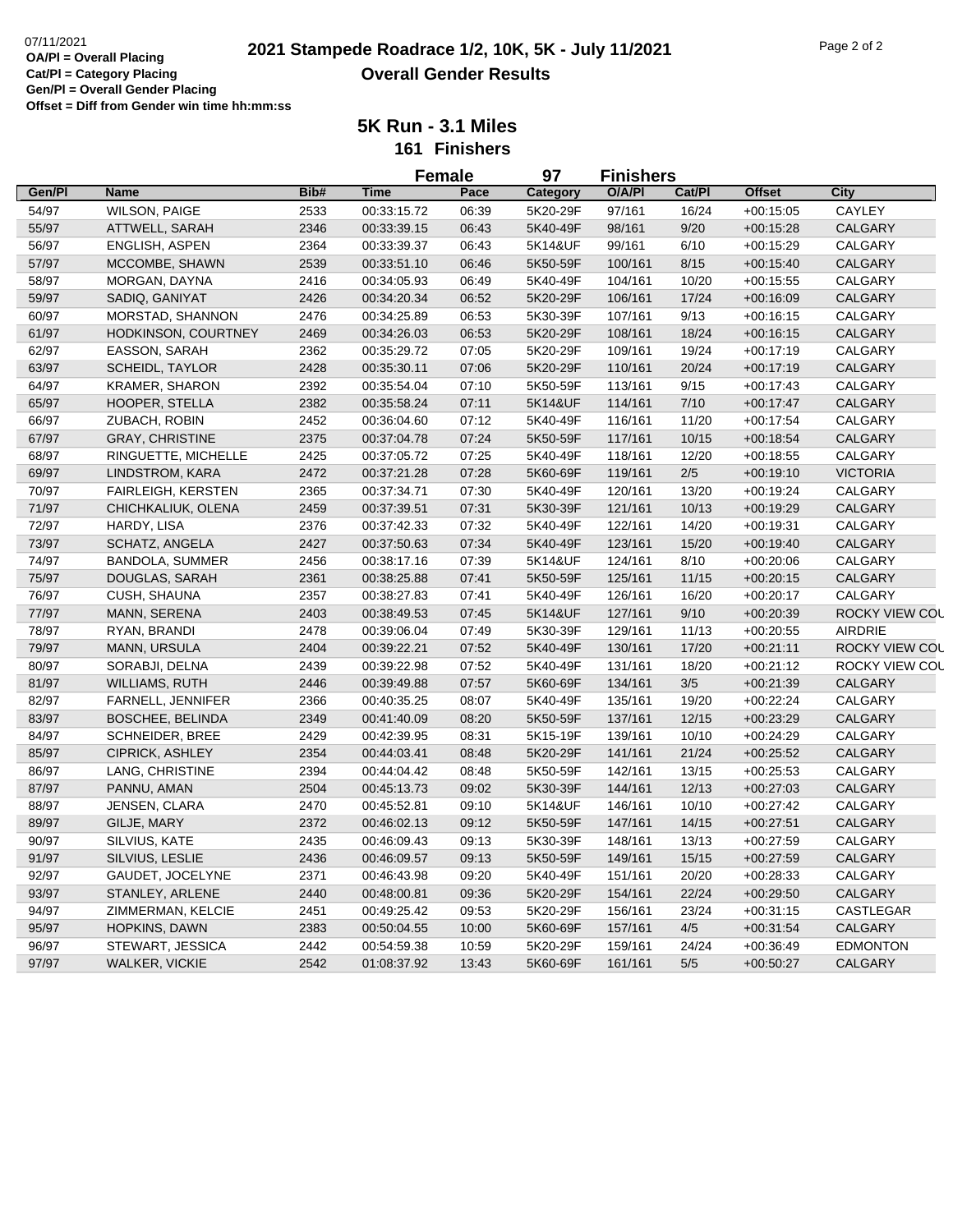|        |                           |      |             | <b>Female</b> | 97       |         | <b>Finishers</b> |               |                       |
|--------|---------------------------|------|-------------|---------------|----------|---------|------------------|---------------|-----------------------|
| Gen/Pl | <b>Name</b>               | Bib# | <b>Time</b> | Pace          | Category | O/A/PI  | Cat/Pl           | <b>Offset</b> | City                  |
| 54/97  | <b>WILSON, PAIGE</b>      | 2533 | 00:33:15.72 | 06:39         | 5K20-29F | 97/161  | 16/24            | $+00:15:05$   | CAYLEY                |
| 55/97  | ATTWELL, SARAH            | 2346 | 00:33:39.15 | 06:43         | 5K40-49F | 98/161  | 9/20             | $+00:15:28$   | <b>CALGARY</b>        |
| 56/97  | ENGLISH, ASPEN            | 2364 | 00:33:39.37 | 06:43         | 5K14&UF  | 99/161  | 6/10             | $+00:15:29$   | CALGARY               |
| 57/97  | MCCOMBE, SHAWN            | 2539 | 00:33:51.10 | 06:46         | 5K50-59F | 100/161 | 8/15             | $+00:15:40$   | <b>CALGARY</b>        |
| 58/97  | MORGAN, DAYNA             | 2416 | 00:34:05.93 | 06:49         | 5K40-49F | 104/161 | 10/20            | $+00:15:55$   | CALGARY               |
| 59/97  | SADIQ, GANIYAT            | 2426 | 00:34:20.34 | 06:52         | 5K20-29F | 106/161 | 17/24            | $+00:16:09$   | <b>CALGARY</b>        |
| 60/97  | MORSTAD, SHANNON          | 2476 | 00:34:25.89 | 06:53         | 5K30-39F | 107/161 | 9/13             | $+00:16:15$   | CALGARY               |
| 61/97  | HODKINSON, COURTNEY       | 2469 | 00:34:26.03 | 06:53         | 5K20-29F | 108/161 | 18/24            | $+00:16:15$   | <b>CALGARY</b>        |
| 62/97  | EASSON, SARAH             | 2362 | 00:35:29.72 | 07:05         | 5K20-29F | 109/161 | 19/24            | $+00:17:19$   | CALGARY               |
| 63/97  | <b>SCHEIDL, TAYLOR</b>    | 2428 | 00:35:30.11 | 07:06         | 5K20-29F | 110/161 | 20/24            | $+00:17:19$   | <b>CALGARY</b>        |
| 64/97  | KRAMER, SHARON            | 2392 | 00:35:54.04 | 07:10         | 5K50-59F | 113/161 | 9/15             | $+00.17:43$   | CALGARY               |
| 65/97  | HOOPER, STELLA            | 2382 | 00:35:58.24 | 07:11         | 5K14&UF  | 114/161 | 7/10             | $+00:17:47$   | <b>CALGARY</b>        |
| 66/97  | ZUBACH, ROBIN             | 2452 | 00:36:04.60 | 07:12         | 5K40-49F | 116/161 | 11/20            | $+00:17:54$   | CALGARY               |
| 67/97  | <b>GRAY, CHRISTINE</b>    | 2375 | 00:37:04.78 | 07:24         | 5K50-59F | 117/161 | 10/15            | $+00:18:54$   | CALGARY               |
| 68/97  | RINGUETTE, MICHELLE       | 2425 | 00:37:05.72 | 07:25         | 5K40-49F | 118/161 | 12/20            | $+00:18:55$   | CALGARY               |
| 69/97  | LINDSTROM, KARA           | 2472 | 00:37:21.28 | 07:28         | 5K60-69F | 119/161 | $2/5$            | $+00:19:10$   | <b>VICTORIA</b>       |
| 70/97  | <b>FAIRLEIGH, KERSTEN</b> | 2365 | 00:37:34.71 | 07:30         | 5K40-49F | 120/161 | 13/20            | $+00:19:24$   | CALGARY               |
| 71/97  | CHICHKALIUK, OLENA        | 2459 | 00:37:39.51 | 07:31         | 5K30-39F | 121/161 | 10/13            | $+00:19:29$   | CALGARY               |
| 72/97  | HARDY, LISA               | 2376 | 00:37:42.33 | 07:32         | 5K40-49F | 122/161 | 14/20            | $+00:19:31$   | CALGARY               |
| 73/97  | SCHATZ, ANGELA            | 2427 | 00:37:50.63 | 07:34         | 5K40-49F | 123/161 | 15/20            | $+00:19:40$   | CALGARY               |
| 74/97  | BANDOLA, SUMMER           | 2456 | 00:38:17.16 | 07:39         | 5K14&UF  | 124/161 | 8/10             | $+00:20:06$   | CALGARY               |
| 75/97  | DOUGLAS, SARAH            | 2361 | 00:38:25.88 | 07:41         | 5K50-59F | 125/161 | 11/15            | $+00:20:15$   | <b>CALGARY</b>        |
| 76/97  | CUSH, SHAUNA              | 2357 | 00:38:27.83 | 07:41         | 5K40-49F | 126/161 | 16/20            | $+00:20:17$   | CALGARY               |
| 77/97  | MANN, SERENA              | 2403 | 00:38:49.53 | 07:45         | 5K14&UF  | 127/161 | 9/10             | $+00:20:39$   | <b>ROCKY VIEW COL</b> |
| 78/97  | RYAN, BRANDI              | 2478 | 00:39:06.04 | 07:49         | 5K30-39F | 129/161 | 11/13            | $+00:20:55$   | <b>AIRDRIE</b>        |
| 79/97  | MANN, URSULA              | 2404 | 00:39:22.21 | 07:52         | 5K40-49F | 130/161 | 17/20            | $+00:21:11$   | ROCKY VIEW COL        |
| 80/97  | SORABJI, DELNA            | 2439 | 00:39:22.98 | 07:52         | 5K40-49F | 131/161 | 18/20            | $+00:21:12$   | ROCKY VIEW COL        |
| 81/97  | WILLIAMS, RUTH            | 2446 | 00:39:49.88 | 07:57         | 5K60-69F | 134/161 | 3/5              | $+00:21:39$   | <b>CALGARY</b>        |
| 82/97  | <b>FARNELL, JENNIFER</b>  | 2366 | 00:40:35.25 | 08:07         | 5K40-49F | 135/161 | 19/20            | $+00:22:24$   | CALGARY               |
| 83/97  | <b>BOSCHEE, BELINDA</b>   | 2349 | 00:41:40.09 | 08:20         | 5K50-59F | 137/161 | 12/15            | $+00:23:29$   | <b>CALGARY</b>        |
| 84/97  | <b>SCHNEIDER, BREE</b>    | 2429 | 00:42:39.95 | 08:31         | 5K15-19F | 139/161 | 10/10            | $+00:24:29$   | CALGARY               |
| 85/97  | CIPRICK, ASHLEY           | 2354 | 00:44:03.41 | 08:48         | 5K20-29F | 141/161 | 21/24            | $+00.25:52$   | <b>CALGARY</b>        |
| 86/97  | LANG, CHRISTINE           | 2394 | 00:44:04.42 | 08:48         | 5K50-59F | 142/161 | 13/15            | $+00:25:53$   | CALGARY               |
| 87/97  | PANNU, AMAN               | 2504 | 00:45:13.73 | 09:02         | 5K30-39F | 144/161 | 12/13            | $+00:27:03$   | <b>CALGARY</b>        |
| 88/97  | JENSEN, CLARA             | 2470 | 00:45:52.81 | 09:10         | 5K14&UF  | 146/161 | 10/10            | $+00:27:42$   | CALGARY               |
| 89/97  | GILJE, MARY               | 2372 | 00:46:02.13 | 09:12         | 5K50-59F | 147/161 | 14/15            | $+00:27:51$   | <b>CALGARY</b>        |
| 90/97  | SILVIUS, KATE             | 2435 | 00:46:09.43 | 09:13         | 5K30-39F | 148/161 | 13/13            | $+00:27:59$   | CALGARY               |
| 91/97  | SILVIUS, LESLIE           | 2436 | 00:46:09.57 | 09:13         | 5K50-59F | 149/161 | 15/15            | $+00:27:59$   | <b>CALGARY</b>        |
| 92/97  | GAUDET, JOCELYNE          | 2371 | 00:46:43.98 | 09:20         | 5K40-49F | 151/161 | 20/20            | $+00:28:33$   | CALGARY               |
| 93/97  | STANLEY, ARLENE           | 2440 | 00:48:00.81 | 09:36         | 5K20-29F | 154/161 | 22/24            | $+00:29:50$   | CALGARY               |
| 94/97  | ZIMMERMAN, KELCIE         | 2451 | 00:49:25.42 | 09:53         | 5K20-29F | 156/161 | 23/24            | $+00:31:15$   | CASTLEGAR             |
| 95/97  | HOPKINS, DAWN             | 2383 | 00:50:04.55 | 10:00         | 5K60-69F | 157/161 | 4/5              | $+00:31:54$   | <b>CALGARY</b>        |
| 96/97  | STEWART, JESSICA          | 2442 | 00:54:59.38 | 10:59         | 5K20-29F | 159/161 | 24/24            | $+00:36:49$   | <b>EDMONTON</b>       |
| 97/97  | <b>WALKER, VICKIE</b>     | 2542 | 01:08:37.92 | 13:43         | 5K60-69F | 161/161 | 5/5              | $+00.50.27$   | CALGARY               |
|        |                           |      |             |               |          |         |                  |               |                       |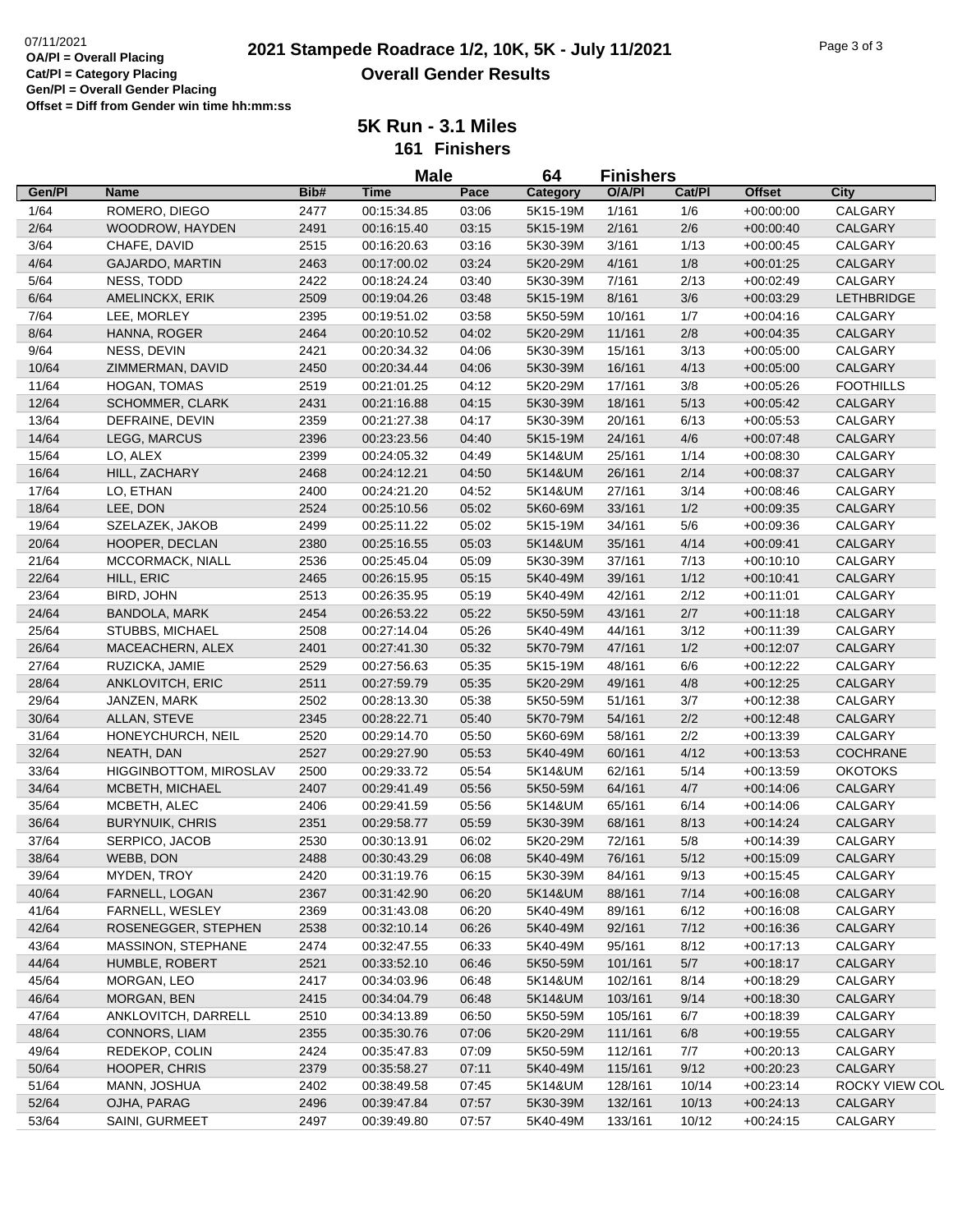|                |                                 |              | <b>Male</b>                |       | 64       | <b>Finishers</b> |             |                            |                           |
|----------------|---------------------------------|--------------|----------------------------|-------|----------|------------------|-------------|----------------------------|---------------------------|
| Gen/Pl         | <b>Name</b>                     | Bib#         | <b>Time</b>                | Pace  | Category | O/A/PI           | Cat/PI      | <b>Offset</b>              | <b>City</b>               |
| 1/64           | ROMERO, DIEGO                   | 2477         | 00:15:34.85                | 03:06 | 5K15-19M | 1/161            | 1/6         | $+00:00:00$                | CALGARY                   |
| 2/64           | WOODROW, HAYDEN                 | 2491         | 00:16:15.40                | 03:15 | 5K15-19M | 2/161            | 2/6         | $+00:00:40$                | CALGARY                   |
| 3/64           | CHAFE, DAVID                    | 2515         | 00:16:20.63                | 03:16 | 5K30-39M | 3/161            | 1/13        | $+00:00:45$                | CALGARY                   |
| 4/64           | <b>GAJARDO, MARTIN</b>          | 2463         | 00:17:00.02                | 03:24 | 5K20-29M | 4/161            | 1/8         | $+00:01:25$                | CALGARY                   |
| 5/64           | NESS, TODD                      | 2422         | 00:18:24.24                | 03:40 | 5K30-39M | 7/161            | 2/13        | $+00:02:49$                | CALGARY                   |
| 6/64           | AMELINCKX, ERIK                 | 2509         | 00:19:04.26                | 03:48 | 5K15-19M | 8/161            | 3/6         | $+00:03:29$                | <b>LETHBRIDGE</b>         |
| 7/64           | LEE, MORLEY                     | 2395         | 00:19:51.02                | 03:58 | 5K50-59M | 10/161           | 1/7         | $+00:04:16$                | CALGARY                   |
| 8/64           | HANNA, ROGER                    | 2464         | 00:20:10.52                | 04:02 | 5K20-29M | 11/161           | 2/8         | $+00:04:35$                | CALGARY                   |
| 9/64           | NESS, DEVIN                     | 2421         | 00:20:34.32                | 04:06 | 5K30-39M | 15/161           | 3/13        | $+00:05:00$                | CALGARY                   |
| 10/64          | ZIMMERMAN, DAVID                | 2450         | 00:20:34.44                | 04:06 | 5K30-39M | 16/161           | 4/13        | $+00:05:00$                | <b>CALGARY</b>            |
| 11/64          | HOGAN, TOMAS                    | 2519         | 00:21:01.25                | 04:12 | 5K20-29M | 17/161           | 3/8         | $+00:05:26$                | <b>FOOTHILLS</b>          |
| 12/64          | <b>SCHOMMER, CLARK</b>          | 2431         | 00:21:16.88                | 04:15 | 5K30-39M | 18/161           | 5/13        | $+00:05:42$                | CALGARY                   |
| 13/64          | DEFRAINE, DEVIN                 | 2359         | 00:21:27.38                | 04:17 | 5K30-39M | 20/161           | 6/13        | $+00:05:53$                | CALGARY                   |
| 14/64          | LEGG, MARCUS                    | 2396         | 00:23:23.56                | 04:40 | 5K15-19M | 24/161           | 4/6         | $+00:07:48$                | CALGARY                   |
| 15/64          | LO, ALEX                        | 2399         | 00:24:05.32                | 04:49 | 5K14&UM  | 25/161           | 1/14        | $+00:08:30$                | CALGARY                   |
| 16/64          | HILL, ZACHARY                   | 2468         | 00:24:12.21                | 04:50 | 5K14&UM  | 26/161           | 2/14        | $+00:08:37$                | CALGARY                   |
| 17/64          | LO, ETHAN                       | 2400         | 00:24:21.20                | 04:52 | 5K14&UM  | 27/161           | 3/14        | $+00.08:46$                | CALGARY                   |
| 18/64          | LEE, DON                        | 2524         | 00:25:10.56                | 05:02 | 5K60-69M | 33/161           | 1/2         | $+00:09:35$                | <b>CALGARY</b>            |
| 19/64          | SZELAZEK, JAKOB                 | 2499         | 00:25:11.22                | 05:02 | 5K15-19M | 34/161           | 5/6         | $+00.09:36$                | CALGARY                   |
| 20/64          | HOOPER, DECLAN                  | 2380         | 00:25:16.55                | 05:03 | 5K14&UM  | 35/161           | 4/14        | $+00:09:41$                | CALGARY                   |
| 21/64          | MCCORMACK, NIALL                | 2536         | 00:25:45.04                | 05:09 | 5K30-39M | 37/161           | 7/13        | $+00:10:10$                | CALGARY                   |
| 22/64          | HILL, ERIC                      | 2465         | 00:26:15.95                | 05:15 | 5K40-49M | 39/161           | 1/12        | $+00:10:41$                | <b>CALGARY</b>            |
| 23/64          | BIRD, JOHN                      | 2513         | 00:26:35.95                | 05:19 | 5K40-49M | 42/161           | 2/12        | $+00:11:01$                | CALGARY                   |
| 24/64          | <b>BANDOLA, MARK</b>            | 2454         | 00:26:53.22                | 05:22 | 5K50-59M | 43/161           | 2/7         | $+00:11:18$                | CALGARY                   |
| 25/64          | STUBBS, MICHAEL                 | 2508         | 00:27:14.04                | 05:26 | 5K40-49M | 44/161           | 3/12        | $+00:11:39$                | CALGARY                   |
| 26/64          | MACEACHERN, ALEX                | 2401         | 00:27:41.30                | 05:32 | 5K70-79M | 47/161           | 1/2         | $+00:12:07$                | CALGARY                   |
| 27/64          | RUZICKA, JAMIE                  | 2529         | 00:27:56.63                | 05:35 | 5K15-19M | 48/161           | 6/6         | $+00:12:22$                | CALGARY                   |
| 28/64          | ANKLOVITCH, ERIC                | 2511         | 00:27:59.79                | 05:35 | 5K20-29M | 49/161           | 4/8         | $+00:12:25$                | CALGARY                   |
| 29/64          | JANZEN, MARK                    | 2502         | 00:28:13.30                | 05:38 | 5K50-59M | 51/161           | 3/7         | $+00:12:38$                | CALGARY                   |
| 30/64          | ALLAN, STEVE                    | 2345         | 00:28:22.71                | 05:40 | 5K70-79M | 54/161           | 2/2         | $+00:12:48$                | CALGARY                   |
| 31/64          | HONEYCHURCH, NEIL               | 2520         | 00:29:14.70                | 05:50 | 5K60-69M | 58/161           | 2/2         | $+00:13:39$                | CALGARY                   |
| 32/64          | NEATH, DAN                      | 2527         |                            | 05:53 | 5K40-49M | 60/161           | 4/12        | $+00:13:53$                | <b>COCHRANE</b>           |
| 33/64          | <b>HIGGINBOTTOM, MIROSLAV</b>   | 2500         | 00:29:27.90<br>00:29:33.72 | 05:54 | 5K14&UM  | 62/161           | 5/14        | $+00:13:59$                | <b>OKOTOKS</b>            |
|                |                                 |              |                            |       | 5K50-59M |                  |             |                            |                           |
| 34/64<br>35/64 | MCBETH, MICHAEL<br>MCBETH, ALEC | 2407<br>2406 | 00:29:41.49                | 05:56 | 5K14&UM  | 64/161<br>65/161 | 4/7<br>6/14 | $+00:14:06$<br>$+00:14:06$ | <b>CALGARY</b><br>CALGARY |
|                |                                 |              | 00:29:41.59                | 05:56 |          |                  |             |                            |                           |
| 36/64          | <b>BURYNUIK, CHRIS</b>          | 2351         | 00:29:58.77<br>00:30:13.91 | 05:59 | 5K30-39M | 68/161           | 8/13<br>5/8 | $+00:14:24$<br>$+00:14:39$ | CALGARY<br>CALGARY        |
| 37/64          | SERPICO, JACOB                  | 2530         |                            | 06:02 | 5K20-29M | 72/161           |             |                            |                           |
| 38/64          | WEBB, DON                       | 2488         | 00:30:43.29                | 06:08 | 5K40-49M | 76/161           | 5/12        | $+00:15:09$                | CALGARY                   |
| 39/64          | MYDEN, TROY                     | 2420         | 00:31:19.76                | 06:15 | 5K30-39M | 84/161           | 9/13        | $+00.15.45$                | CALGARY                   |
| 40/64          | FARNELL, LOGAN                  | 2367         | 00:31:42.90                | 06:20 | 5K14&UM  | 88/161           | 7/14        | $+00:16:08$                | CALGARY                   |
| 41/64          | FARNELL, WESLEY                 | 2369         | 00:31:43.08                | 06:20 | 5K40-49M | 89/161           | 6/12        | $+00:16:08$                | CALGARY                   |
| 42/64          | ROSENEGGER, STEPHEN             | 2538         | 00:32:10.14                | 06:26 | 5K40-49M | 92/161           | 7/12        | $+00:16:36$                | CALGARY                   |
| 43/64          | MASSINON, STEPHANE              | 2474         | 00:32:47.55                | 06:33 | 5K40-49M | 95/161           | 8/12        | $+00:17:13$                | CALGARY                   |
| 44/64          | HUMBLE, ROBERT                  | 2521         | 00:33:52.10                | 06:46 | 5K50-59M | 101/161          | 5/7         | $+00:18:17$                | CALGARY                   |
| 45/64          | MORGAN, LEO                     | 2417         | 00:34:03.96                | 06:48 | 5K14&UM  | 102/161          | 8/14        | $+00:18:29$                | CALGARY                   |
| 46/64          | MORGAN, BEN                     | 2415         | 00:34:04.79                | 06:48 | 5K14&UM  | 103/161          | 9/14        | $+00:18:30$                | CALGARY                   |
| 47/64          | ANKLOVITCH, DARRELL             | 2510         | 00:34:13.89                | 06:50 | 5K50-59M | 105/161          | 6/7         | $+00:18:39$                | CALGARY                   |
| 48/64          | CONNORS, LIAM                   | 2355         | 00:35:30.76                | 07:06 | 5K20-29M | 111/161          | 6/8         | $+00:19:55$                | <b>CALGARY</b>            |
| 49/64          | REDEKOP, COLIN                  | 2424         | 00:35:47.83                | 07:09 | 5K50-59M | 112/161          | 7/7         | $+00:20:13$                | CALGARY                   |
| 50/64          | HOOPER, CHRIS                   | 2379         | 00:35:58.27                | 07:11 | 5K40-49M | 115/161          | 9/12        | $+00:20:23$                | CALGARY                   |
| 51/64          | MANN, JOSHUA                    | 2402         | 00:38:49.58                | 07:45 | 5K14&UM  | 128/161          | 10/14       | $+00:23:14$                | ROCKY VIEW COL            |
| 52/64          | OJHA, PARAG                     | 2496         | 00:39:47.84                | 07:57 | 5K30-39M | 132/161          | 10/13       | $+00:24:13$                | CALGARY                   |
| 53/64          | SAINI, GURMEET                  | 2497         | 00:39:49.80                | 07:57 | 5K40-49M | 133/161          | 10/12       | $+00:24:15$                | CALGARY                   |